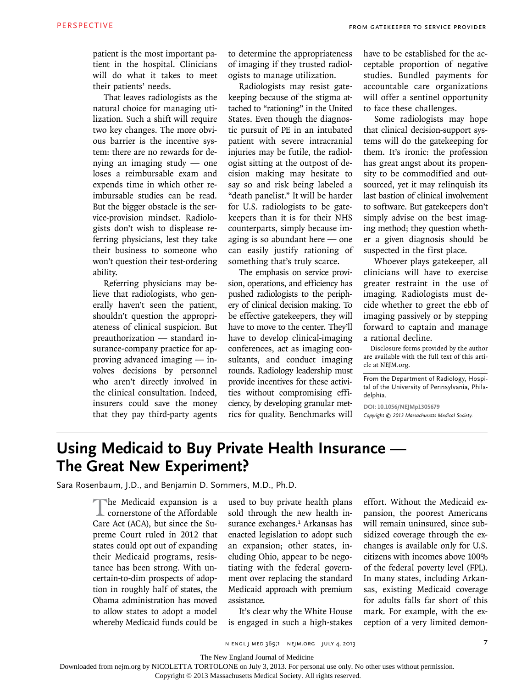patient is the most important patient in the hospital. Clinicians will do what it takes to meet their patients' needs.

That leaves radiologists as the natural choice for managing utilization. Such a shift will require two key changes. The more obvious barrier is the incentive system: there are no rewards for denying an imaging study — one loses a reimbursable exam and expends time in which other reimbursable studies can be read. But the bigger obstacle is the service-provision mindset. Radiologists don't wish to displease referring physicians, lest they take their business to someone who won't question their test-ordering ability.

Referring physicians may believe that radiologists, who generally haven't seen the patient, shouldn't question the appropriateness of clinical suspicion. But preauthorization — standard insurance-company practice for approving advanced imaging — involves decisions by personnel who aren't directly involved in the clinical consultation. Indeed, insurers could save the money that they pay third-party agents to determine the appropriateness of imaging if they trusted radiologists to manage utilization.

Radiologists may resist gatekeeping because of the stigma attached to "rationing" in the United States. Even though the diagnostic pursuit of PE in an intubated patient with severe intracranial injuries may be futile, the radiologist sitting at the outpost of decision making may hesitate to say so and risk being labeled a "death panelist." It will be harder for U.S. radiologists to be gatekeepers than it is for their NHS counterparts, simply because imaging is so abundant here — one can easily justify rationing of something that's truly scarce.

The emphasis on service provision, operations, and efficiency has pushed radiologists to the periphery of clinical decision making. To be effective gatekeepers, they will have to move to the center. They'll have to develop clinical-imaging conferences, act as imaging consultants, and conduct imaging rounds. Radiology leadership must provide incentives for these activities without compromising efficiency, by developing granular metrics for quality. Benchmarks will

have to be established for the acceptable proportion of negative studies. Bundled payments for accountable care organizations will offer a sentinel opportunity to face these challenges.

Some radiologists may hope that clinical decision-support systems will do the gatekeeping for them. It's ironic: the profession has great angst about its propensity to be commodified and outsourced, yet it may relinquish its last bastion of clinical involvement to software. But gatekeepers don't simply advise on the best imaging method; they question whether a given diagnosis should be suspected in the first place.

Whoever plays gatekeeper, all clinicians will have to exercise greater restraint in the use of imaging. Radiologists must decide whether to greet the ebb of imaging passively or by stepping forward to captain and manage a rational decline.

Disclosure forms provided by the author are available with the full text of this article at NEJM.org.

From the Department of Radiology, Hospital of the University of Pennsylvania, Philadelphia.

**DOI: 10.1056/NEJMp1305679** *Copyright © 2013 Massachusetts Medical Society.*

## **Using Medicaid to Buy Private Health Insurance — The Great New Experiment?**

Sara Rosenbaum, J.D., and Benjamin D. Sommers, M.D., Ph.D.

The Medicaid expansion is a cornerstone of the Affordable Care Act (ACA), but since the Supreme Court ruled in 2012 that states could opt out of expanding their Medicaid programs, resistance has been strong. With uncertain-to-dim prospects of adoption in roughly half of states, the Obama administration has moved to allow states to adopt a model whereby Medicaid funds could be

used to buy private health plans sold through the new health insurance exchanges.<sup>1</sup> Arkansas has enacted legislation to adopt such an expansion; other states, including Ohio, appear to be negotiating with the federal government over replacing the standard Medicaid approach with premium assistance.

It's clear why the White House is engaged in such a high-stakes effort. Without the Medicaid expansion, the poorest Americans will remain uninsured, since subsidized coverage through the exchanges is available only for U.S. citizens with incomes above 100% of the federal poverty level (FPL). In many states, including Arkansas, existing Medicaid coverage for adults falls far short of this mark. For example, with the exception of a very limited demon-

n engl j med 369;1 nejm.org july 4, 2013

The New England Journal of Medicine

Downloaded from nejm.org by NICOLETTA TORTOLONE on July 3, 2013. For personal use only. No other uses without permission.

Copyright © 2013 Massachusetts Medical Society. All rights reserved.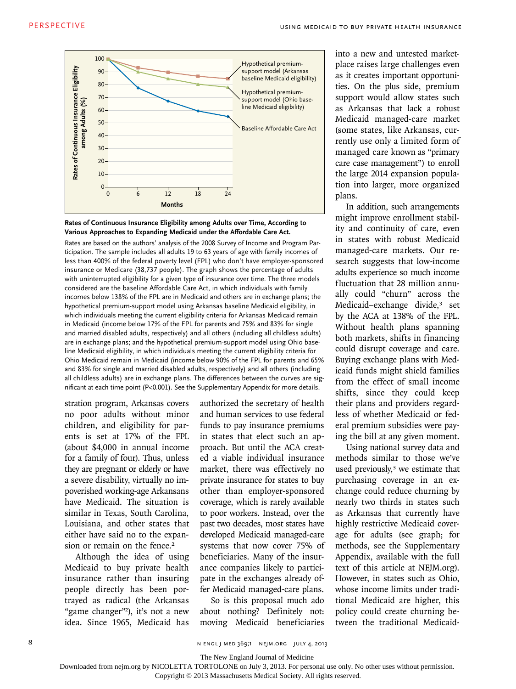



Rates are based on the authors' analysis of the 2008 Survey of Income and Program Participation. The sample includes all adults 19 to 63 years of age with family incomes of less than 400% of the federal poverty level (FPL) who don't have employer-sponsored insurance or Medicare (38,737 people). The graph shows the percentage of adults with uninterrupted eligibility for a given type of insurance over time. The three models considered are the baseline Affordable Care Act, in which individuals with family incomes below 138% of the FPL are in Medicaid and others are in exchange plans; the hypothetical premium-support model using Arkansas baseline Medicaid eligibility, in which individuals meeting the current eligibility criteria for Arkansas Medicaid remain in Medicaid (income below 17% of the FPL for parents and 75% and 83% for single and married disabled adults, respectively) and all others (including all childless adults) are in exchange plans; and the hypothetical premium-support model using Ohio baseline Medicaid eligibility, in which individuals meeting the current eligibility criteria for Ohio Medicaid remain in Medicaid (income below 90% of the FPL for parents and 65% and 83% for single and married disabled adults, respectively) and all others (including all childless adults) are in exchange plans. The differences between the curves are significant at each time point (P<0.001). See the Supplementary Appendix for more details.

stration program, Arkansas covers no poor adults without minor children, and eligibility for parents is set at 17% of the FPL (about \$4,000 in annual income for a family of four). Thus, unless they are pregnant or elderly or have a severe disability, virtually no impoverished working-age Arkansans have Medicaid. The situation is similar in Texas, South Carolina, Louisiana, and other states that either have said no to the expansion or remain on the fence.<sup>2</sup>

Although the idea of using Medicaid to buy private health insurance rather than insuring people directly has been portrayed as radical (the Arkansas "game changer"<sup>2</sup>), it's not a new idea. Since 1965, Medicaid has

authorized the secretary of health and human services to use federal funds to pay insurance premiums in states that elect such an approach. But until the ACA created a viable individual insurance market, there was effectively no private insurance for states to buy other than employer-sponsored coverage, which is rarely available to poor workers. Instead, over the past two decades, most states have developed Medicaid managed-care systems that now cover 75% of beneficiaries. Many of the insurance companies likely to participate in the exchanges already offer Medicaid managed-care plans.

So is this proposal much ado about nothing? Definitely not: moving Medicaid beneficiaries into a new and untested marketplace raises large challenges even as it creates important opportunities. On the plus side, premium support would allow states such as Arkansas that lack a robust Medicaid managed-care market (some states, like Arkansas, currently use only a limited form of managed care known as "primary care case management") to enroll the large 2014 expansion population into larger, more organized plans.

In addition, such arrangements might improve enrollment stability and continuity of care, even in states with robust Medicaid managed-care markets. Our research suggests that low-income adults experience so much income fluctuation that 28 million annually could "churn" across the Medicaid–exchange divide,<sup>3</sup> set by the ACA at 138% of the FPL. Without health plans spanning both markets, shifts in financing could disrupt coverage and care. Buying exchange plans with Medicaid funds might shield families from the effect of small income shifts, since they could keep their plans and providers regardless of whether Medicaid or federal premium subsidies were paying the bill at any given moment.

Using national survey data and methods similar to those we've used previously,<sup>3</sup> we estimate that purchasing coverage in an exchange could reduce churning by nearly two thirds in states such as Arkansas that currently have highly restrictive Medicaid coverage for adults (see graph; for methods, see the Supplementary Appendix, available with the full text of this article at NEJM.org). However, in states such as Ohio, whose income limits under traditional Medicaid are higher, this policy could create churning between the traditional Medicaid-

8 N ENGL J MED 369;1 NEJM.ORG JULY 4, 2013

The New England Journal of Medicine

Copyright © 2013 Massachusetts Medical Society. All rights reserved.